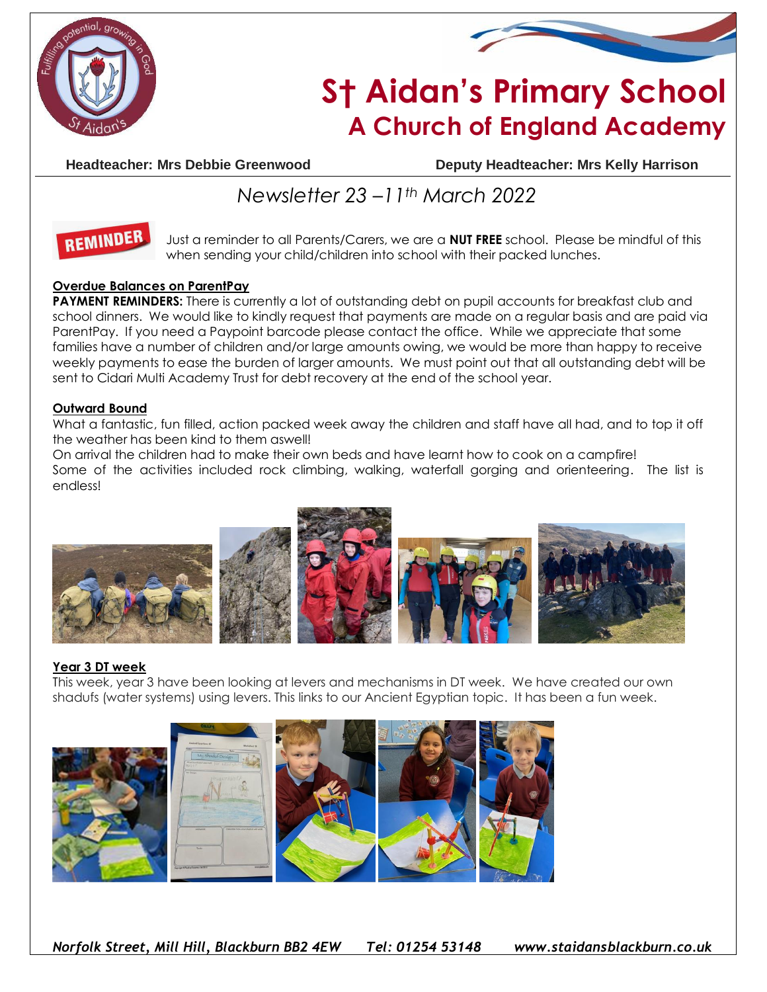



# **S† Aidan's Primary School A Church of England Academy**

**Headteacher: Mrs Debbie Greenwood Deputy Headteacher: Mrs Kelly Harrison**

## *Newsletter 23 –11th March 2022*



Just a reminder to all Parents/Carers, we are a **NUT FREE** school. Please be mindful of this when sending your child/children into school with their packed lunches.

#### **Overdue Balances on ParentPay**

**PAYMENT REMINDERS:** There is currently a lot of outstanding debt on pupil accounts for breakfast club and school dinners. We would like to kindly request that payments are made on a regular basis and are paid via ParentPay. If you need a Paypoint barcode please contact the office. While we appreciate that some families have a number of children and/or large amounts owing, we would be more than happy to receive weekly payments to ease the burden of larger amounts. We must point out that all outstanding debt will be sent to Cidari Multi Academy Trust for debt recovery at the end of the school year.

#### **Outward Bound**

What a fantastic, fun filled, action packed week away the children and staff have all had, and to top it off the weather has been kind to them aswell!

On arrival the children had to make their own beds and have learnt how to cook on a campfire! Some of the activities included rock climbing, walking, waterfall gorging and orienteering. The list is endless!



#### **Year 3 DT week**

This week, year 3 have been looking at levers and mechanisms in DT week. We have created our own shadufs (water systems) using levers. This links to our Ancient Egyptian topic. It has been a fun week.







*Norfolk Street, Mill Hill, Blackburn BB2 4EW Tel: 01254 53148 www.staidansblackburn.co.uk*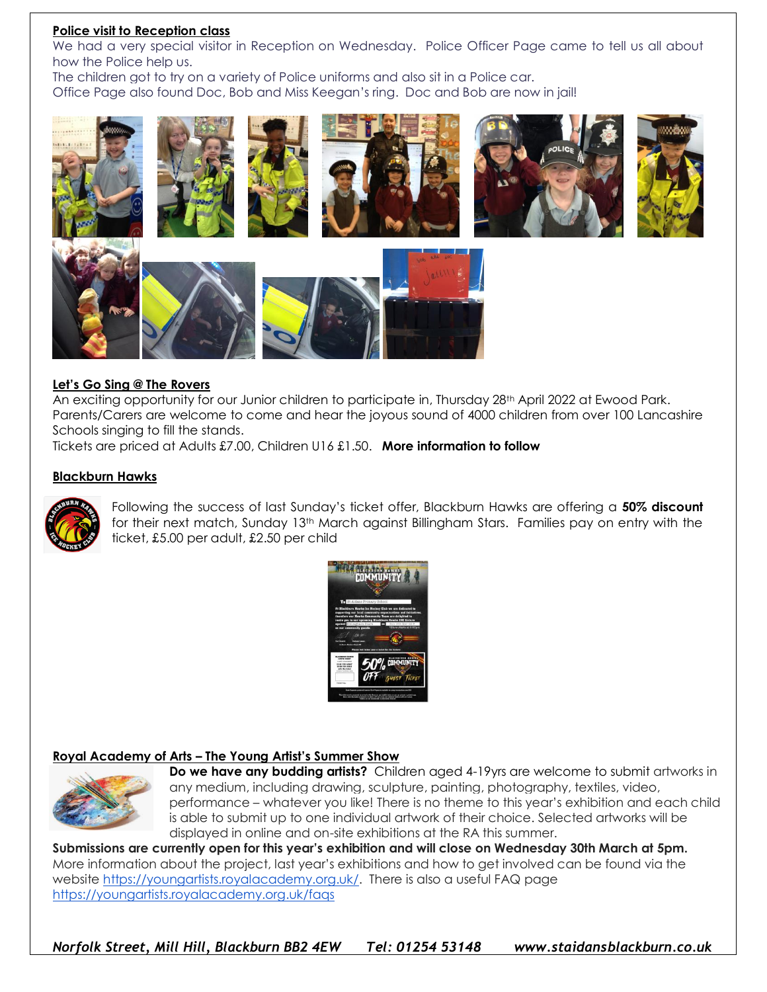#### **Police visit to Reception class**

We had a very special visitor in Reception on Wednesday. Police Officer Page came to tell us all about how the Police help us.

The children got to try on a variety of Police uniforms and also sit in a Police car. Office Page also found Doc, Bob and Miss Keegan's ring. Doc and Bob are now in jail!



#### **Let's Go Sing @ The Rovers**

An exciting opportunity for our Junior children to participate in, Thursday 28th April 2022 at Ewood Park. Parents/Carers are welcome to come and hear the joyous sound of 4000 children from over 100 Lancashire Schools singing to fill the stands.

Tickets are priced at Adults £7.00, Children U16 £1.50. **More information to follow**

#### **Blackburn Hawks**



Following the success of last Sunday's ticket offer, Blackburn Hawks are offering a **50% discount** for their next match, Sunday 13th March against Billingham Stars. Families pay on entry with the ticket, £5.00 per adult, £2.50 per child



#### **Royal Academy of Arts – The Young Artist's Summer Show**



**Do we have any budding artists?** Children aged 4-19yrs are welcome to submit artworks in any medium, including drawing, sculpture, painting, photography, textiles, video, performance – whatever you like! There is no theme to this year's exhibition and each child is able to submit up to one individual artwork of their choice. Selected artworks will be displayed in online and on-site exhibitions at the RA this summer.

**Submissions are currently open for this year's exhibition and will close on Wednesday 30th March at 5pm.** More information about the project, last year's exhibitions and how to get involved can be found via the website [https://youngartists.royalacademy.org.uk/.](https://youngartists.royalacademy.org.uk/?utm_source=web%20address&utm_medium=email&utm_campaign=Learning%20%7C%20YASS%20%7C%20SchoolOutreachEmails%20%7C%20ORGANIC%20%7C%20BuyNow%20%7C%20INT&utm_content=ORGANIC&utm_term=20211701) There is also a useful FAQ page [https://youngartists.royalacademy.org.uk/faqs](https://youngartists.royalacademy.org.uk/faqs?utm_source=web%20address&utm_medium=email&utm_campaign=Learning%20%7C%20YASS%20%7C%20SchoolOutreachEmails%20%7C%20ORGANIC%20%7C%20BuyNow%20%7C%20INT&utm_content=ORGANIC&utm_term=20210317)

*Norfolk Street, Mill Hill, Blackburn BB2 4EW Tel: 01254 53148 www.staidansblackburn.co.uk*